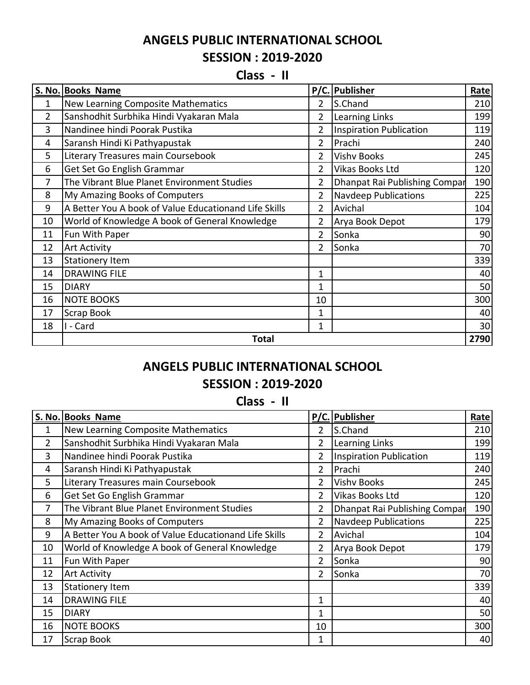## **ANGELS PUBLIC INTERNATIONAL SCHOOL SESSION : 2019-2020**

## **Class - II**

|                | S. No. Books Name                                     |                | P/C. Publisher                 | Rate |
|----------------|-------------------------------------------------------|----------------|--------------------------------|------|
| 1              | New Learning Composite Mathematics                    | $\overline{2}$ | S.Chand                        | 210  |
| $\overline{2}$ | Sanshodhit Surbhika Hindi Vyakaran Mala               | $\overline{2}$ | <b>Learning Links</b>          | 199  |
| 3              | Nandinee hindi Poorak Pustika                         | $\overline{2}$ | <b>Inspiration Publication</b> | 119  |
| 4              | Saransh Hindi Ki Pathyapustak                         | $\overline{2}$ | Prachi                         | 240  |
| 5              | Literary Treasures main Coursebook                    | $\overline{2}$ | <b>Vishv Books</b>             | 245  |
| 6              | Get Set Go English Grammar                            | $\overline{2}$ | Vikas Books Ltd                | 120  |
| 7              | The Vibrant Blue Planet Environment Studies           | $\overline{2}$ | Dhanpat Rai Publishing Compar  | 190  |
| 8              | My Amazing Books of Computers                         | $\overline{2}$ | <b>Navdeep Publications</b>    | 225  |
| 9              | A Better You A book of Value Educationand Life Skills | $\overline{2}$ | Avichal                        | 104  |
| 10             | World of Knowledge A book of General Knowledge        | $\overline{2}$ | Arya Book Depot                | 179  |
| 11             | Fun With Paper                                        | $\overline{2}$ | Sonka                          | 90   |
| 12             | <b>Art Activity</b>                                   | $\overline{2}$ | Sonka                          | 70   |
| 13             | <b>Stationery Item</b>                                |                |                                | 339  |
| 14             | <b>DRAWING FILE</b>                                   | 1              |                                | 40   |
| 15             | <b>DIARY</b>                                          | 1              |                                | 50   |
| 16             | <b>NOTE BOOKS</b>                                     | 10             |                                | 300  |
| 17             | Scrap Book                                            | 1              |                                | 40   |
| 18             | I - Card                                              | $\mathbf{1}$   |                                | 30   |
|                | <b>Total</b>                                          |                |                                | 2790 |

## **ANGELS PUBLIC INTERNATIONAL SCHOOL**

## **SESSION : 2019-2020**

**Class - II**

|                | S. No. Books Name                                     |                | P/C. Publisher                | Rate |
|----------------|-------------------------------------------------------|----------------|-------------------------------|------|
| 1              | New Learning Composite Mathematics                    | $\overline{2}$ | S.Chand                       | 210  |
| $\overline{2}$ | Sanshodhit Surbhika Hindi Vyakaran Mala               | $\overline{2}$ | <b>Learning Links</b>         | 199  |
| 3              | Nandinee hindi Poorak Pustika                         | $\overline{2}$ | Inspiration Publication       | 119  |
| 4              | Saransh Hindi Ki Pathyapustak                         | $\overline{2}$ | Prachi                        | 240  |
| 5              | Literary Treasures main Coursebook                    | $\overline{2}$ | <b>Vishv Books</b>            | 245  |
| 6              | Get Set Go English Grammar                            | $\overline{2}$ | Vikas Books Ltd               | 120  |
| $\overline{7}$ | The Vibrant Blue Planet Environment Studies           | $\overline{2}$ | Dhanpat Rai Publishing Compar | 190  |
| 8              | My Amazing Books of Computers                         | $\overline{2}$ | <b>Navdeep Publications</b>   | 225  |
| 9              | A Better You A book of Value Educationand Life Skills | $\overline{2}$ | Avichal                       | 104  |
| 10             | World of Knowledge A book of General Knowledge        | $\overline{2}$ | Arya Book Depot               | 179  |
| 11             | Fun With Paper                                        | $\overline{2}$ | Sonka                         | 90   |
| 12             | <b>Art Activity</b>                                   | $\overline{2}$ | Sonka                         | 70   |
| 13             | <b>Stationery Item</b>                                |                |                               | 339  |
| 14             | <b>DRAWING FILE</b>                                   | 1              |                               | 40   |
| 15             | <b>DIARY</b>                                          | $\mathbf{1}$   |                               | 50   |
| 16             | <b>NOTE BOOKS</b>                                     | 10             |                               | 300  |
| 17             | Scrap Book                                            | 1              |                               | 40   |